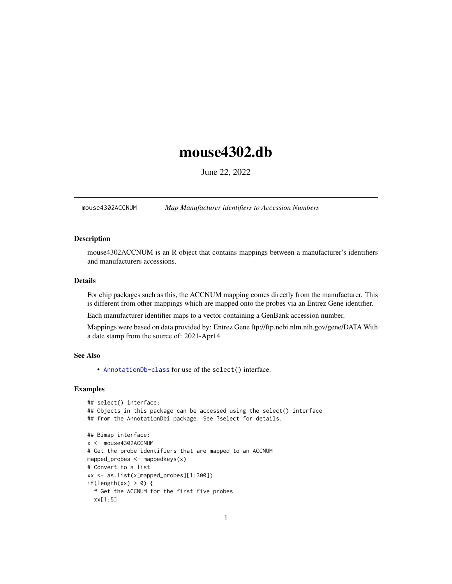## <span id="page-0-1"></span>mouse4302.db

June 22, 2022

<span id="page-0-0"></span>mouse4302ACCNUM *Map Manufacturer identifiers to Accession Numbers*

## Description

mouse4302ACCNUM is an R object that contains mappings between a manufacturer's identifiers and manufacturers accessions.

## Details

For chip packages such as this, the ACCNUM mapping comes directly from the manufacturer. This is different from other mappings which are mapped onto the probes via an Entrez Gene identifier.

Each manufacturer identifier maps to a vector containing a GenBank accession number.

Mappings were based on data provided by: Entrez Gene ftp://ftp.ncbi.nlm.nih.gov/gene/DATA With a date stamp from the source of: 2021-Apr14

#### See Also

• AnnotationDb-class for use of the select() interface.

```
## select() interface:
## Objects in this package can be accessed using the select() interface
## from the AnnotationDbi package. See ?select for details.
## Bimap interface:
x <- mouse4302ACCNUM
# Get the probe identifiers that are mapped to an ACCNUM
mapped_probes <- mappedkeys(x)
# Convert to a list
xx <- as.list(x[mapped_probes][1:300])
if(length(xx) > 0) {
 # Get the ACCNUM for the first five probes
 xx[1:5]
```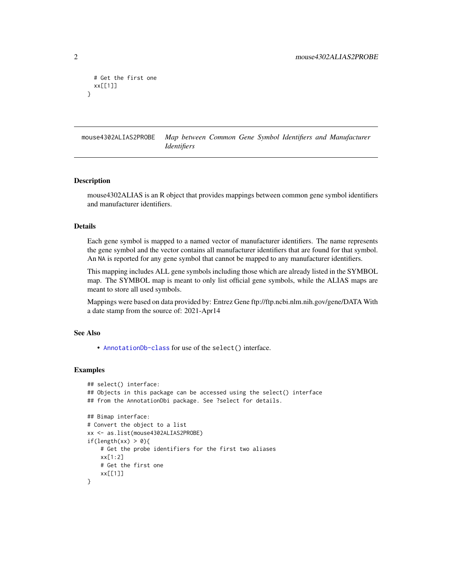```
# Get the first one
 xx[[1]]
}
```
mouse4302ALIAS2PROBE *Map between Common Gene Symbol Identifiers and Manufacturer Identifiers*

#### Description

mouse4302ALIAS is an R object that provides mappings between common gene symbol identifiers and manufacturer identifiers.

#### Details

Each gene symbol is mapped to a named vector of manufacturer identifiers. The name represents the gene symbol and the vector contains all manufacturer identifiers that are found for that symbol. An NA is reported for any gene symbol that cannot be mapped to any manufacturer identifiers.

This mapping includes ALL gene symbols including those which are already listed in the SYMBOL map. The SYMBOL map is meant to only list official gene symbols, while the ALIAS maps are meant to store all used symbols.

Mappings were based on data provided by: Entrez Gene ftp://ftp.ncbi.nlm.nih.gov/gene/DATA With a date stamp from the source of: 2021-Apr14

## See Also

• [AnnotationDb-class](#page-0-0) for use of the select() interface.

```
## select() interface:
## Objects in this package can be accessed using the select() interface
## from the AnnotationDbi package. See ?select for details.
## Bimap interface:
# Convert the object to a list
xx <- as.list(mouse4302ALIAS2PROBE)
if(length(xx) > 0){
    # Get the probe identifiers for the first two aliases
   xx[1:2]
   # Get the first one
   xx[[1]]
}
```
<span id="page-1-0"></span>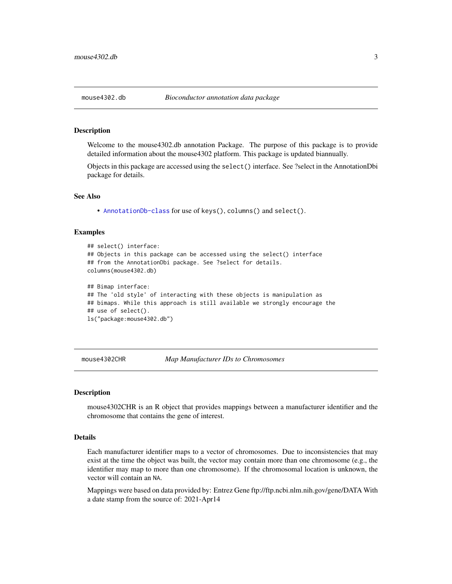#### <span id="page-2-0"></span>Description

Welcome to the mouse4302.db annotation Package. The purpose of this package is to provide detailed information about the mouse4302 platform. This package is updated biannually.

Objects in this package are accessed using the select() interface. See ?select in the AnnotationDbi package for details.

#### See Also

• [AnnotationDb-class](#page-0-0) for use of keys(), columns() and select().

#### Examples

```
## select() interface:
## Objects in this package can be accessed using the select() interface
## from the AnnotationDbi package. See ?select for details.
columns(mouse4302.db)
## Bimap interface:
## The 'old style' of interacting with these objects is manipulation as
## bimaps. While this approach is still available we strongly encourage the
## use of select().
ls("package:mouse4302.db")
```
mouse4302CHR *Map Manufacturer IDs to Chromosomes*

#### **Description**

mouse4302CHR is an R object that provides mappings between a manufacturer identifier and the chromosome that contains the gene of interest.

## Details

Each manufacturer identifier maps to a vector of chromosomes. Due to inconsistencies that may exist at the time the object was built, the vector may contain more than one chromosome (e.g., the identifier may map to more than one chromosome). If the chromosomal location is unknown, the vector will contain an NA.

Mappings were based on data provided by: Entrez Gene ftp://ftp.ncbi.nlm.nih.gov/gene/DATA With a date stamp from the source of: 2021-Apr14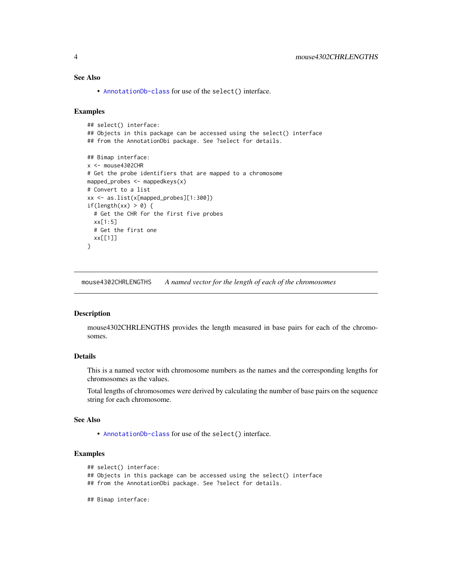## <span id="page-3-0"></span>See Also

• [AnnotationDb-class](#page-0-0) for use of the select() interface.

#### Examples

```
## select() interface:
## Objects in this package can be accessed using the select() interface
## from the AnnotationDbi package. See ?select for details.
## Bimap interface:
x <- mouse4302CHR
# Get the probe identifiers that are mapped to a chromosome
mapped_probes <- mappedkeys(x)
# Convert to a list
xx <- as.list(x[mapped_probes][1:300])
if(length(xx) > 0) {
  # Get the CHR for the first five probes
  xx[1:5]
  # Get the first one
  xx[[1]]
}
```
mouse4302CHRLENGTHS *A named vector for the length of each of the chromosomes*

#### Description

mouse4302CHRLENGTHS provides the length measured in base pairs for each of the chromosomes.

## Details

This is a named vector with chromosome numbers as the names and the corresponding lengths for chromosomes as the values.

Total lengths of chromosomes were derived by calculating the number of base pairs on the sequence string for each chromosome.

## See Also

• [AnnotationDb-class](#page-0-0) for use of the select() interface.

## Examples

```
## select() interface:
```
## Objects in this package can be accessed using the select() interface

- ## from the AnnotationDbi package. See ?select for details.
- ## Bimap interface: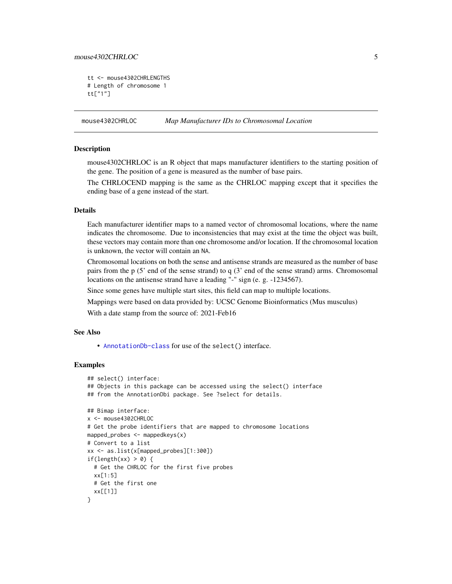## <span id="page-4-0"></span>mouse4302CHRLOC 5

```
tt <- mouse4302CHRLENGTHS
# Length of chromosome 1
tt["1"]
```
mouse4302CHRLOC *Map Manufacturer IDs to Chromosomal Location*

## **Description**

mouse4302CHRLOC is an R object that maps manufacturer identifiers to the starting position of the gene. The position of a gene is measured as the number of base pairs.

The CHRLOCEND mapping is the same as the CHRLOC mapping except that it specifies the ending base of a gene instead of the start.

## Details

Each manufacturer identifier maps to a named vector of chromosomal locations, where the name indicates the chromosome. Due to inconsistencies that may exist at the time the object was built, these vectors may contain more than one chromosome and/or location. If the chromosomal location is unknown, the vector will contain an NA.

Chromosomal locations on both the sense and antisense strands are measured as the number of base pairs from the p (5' end of the sense strand) to q (3' end of the sense strand) arms. Chromosomal locations on the antisense strand have a leading "-" sign (e. g. -1234567).

Since some genes have multiple start sites, this field can map to multiple locations.

Mappings were based on data provided by: UCSC Genome Bioinformatics (Mus musculus)

With a date stamp from the source of: 2021-Feb16

## See Also

• [AnnotationDb-class](#page-0-0) for use of the select() interface.

```
## select() interface:
## Objects in this package can be accessed using the select() interface
## from the AnnotationDbi package. See ?select for details.
## Bimap interface:
x <- mouse4302CHRLOC
# Get the probe identifiers that are mapped to chromosome locations
mapped_probes <- mappedkeys(x)
# Convert to a list
xx <- as.list(x[mapped_probes][1:300])
if(length(xx) > 0) {
 # Get the CHRLOC for the first five probes
 xx[1:5]
 # Get the first one
 xx[[1]]
}
```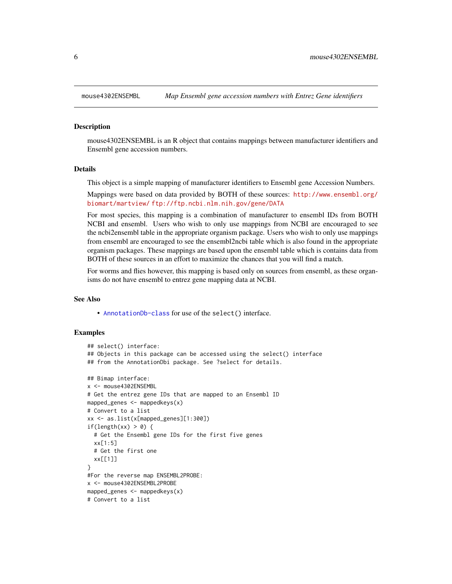<span id="page-5-0"></span>

#### Description

mouse4302ENSEMBL is an R object that contains mappings between manufacturer identifiers and Ensembl gene accession numbers.

#### Details

This object is a simple mapping of manufacturer identifiers to Ensembl gene Accession Numbers.

Mappings were based on data provided by BOTH of these sources: [http://www.ensembl.org/](http://www.ensembl.org/biomart/martview/) [biomart/martview/](http://www.ensembl.org/biomart/martview/) <ftp://ftp.ncbi.nlm.nih.gov/gene/DATA>

For most species, this mapping is a combination of manufacturer to ensembl IDs from BOTH NCBI and ensembl. Users who wish to only use mappings from NCBI are encouraged to see the ncbi2ensembl table in the appropriate organism package. Users who wish to only use mappings from ensembl are encouraged to see the ensembl2ncbi table which is also found in the appropriate organism packages. These mappings are based upon the ensembl table which is contains data from BOTH of these sources in an effort to maximize the chances that you will find a match.

For worms and flies however, this mapping is based only on sources from ensembl, as these organisms do not have ensembl to entrez gene mapping data at NCBI.

#### See Also

• [AnnotationDb-class](#page-0-0) for use of the select() interface.

```
## select() interface:
## Objects in this package can be accessed using the select() interface
## from the AnnotationDbi package. See ?select for details.
## Bimap interface:
x <- mouse4302ENSEMBL
# Get the entrez gene IDs that are mapped to an Ensembl ID
mapped_genes \leq mappedkeys(x)
# Convert to a list
xx <- as.list(x[mapped_genes][1:300])
if(length(xx) > 0) {
 # Get the Ensembl gene IDs for the first five genes
 xx[1:5]
 # Get the first one
 xx[[1]]
}
#For the reverse map ENSEMBL2PROBE:
x <- mouse4302ENSEMBL2PROBE
mapped_genes <- mappedkeys(x)
# Convert to a list
```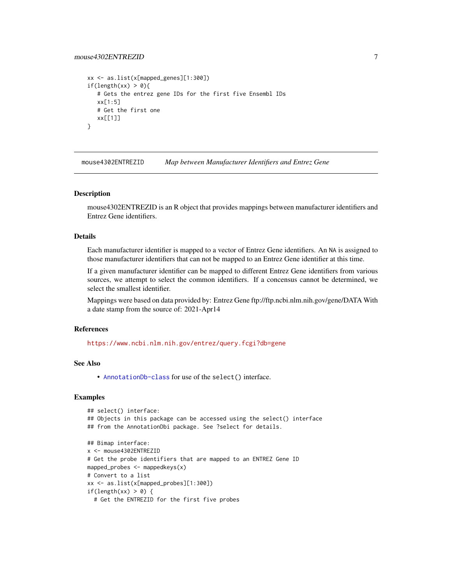## <span id="page-6-0"></span>mouse4302ENTREZID 7

```
xx <- as.list(x[mapped_genes][1:300])
if(length(xx) > 0){
   # Gets the entrez gene IDs for the first five Ensembl IDs
  xx[1:5]
  # Get the first one
  xx[[1]]
}
```
mouse4302ENTREZID *Map between Manufacturer Identifiers and Entrez Gene*

#### Description

mouse4302ENTREZID is an R object that provides mappings between manufacturer identifiers and Entrez Gene identifiers.

## Details

Each manufacturer identifier is mapped to a vector of Entrez Gene identifiers. An NA is assigned to those manufacturer identifiers that can not be mapped to an Entrez Gene identifier at this time.

If a given manufacturer identifier can be mapped to different Entrez Gene identifiers from various sources, we attempt to select the common identifiers. If a concensus cannot be determined, we select the smallest identifier.

Mappings were based on data provided by: Entrez Gene ftp://ftp.ncbi.nlm.nih.gov/gene/DATA With a date stamp from the source of: 2021-Apr14

## References

<https://www.ncbi.nlm.nih.gov/entrez/query.fcgi?db=gene>

## See Also

• [AnnotationDb-class](#page-0-0) for use of the select() interface.

```
## select() interface:
## Objects in this package can be accessed using the select() interface
## from the AnnotationDbi package. See ?select for details.
## Bimap interface:
x <- mouse4302ENTREZID
# Get the probe identifiers that are mapped to an ENTREZ Gene ID
mapped_probes <- mappedkeys(x)
# Convert to a list
xx <- as.list(x[mapped_probes][1:300])
if(length(xx) > 0) {
 # Get the ENTREZID for the first five probes
```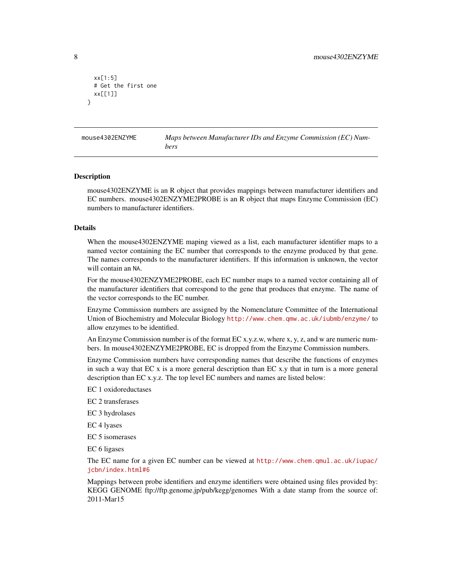```
xx[1:5]
 # Get the first one
 xx[[1]]
}
```
mouse4302ENZYME *Maps between Manufacturer IDs and Enzyme Commission (EC) Numbers*

#### Description

mouse4302ENZYME is an R object that provides mappings between manufacturer identifiers and EC numbers. mouse4302ENZYME2PROBE is an R object that maps Enzyme Commission (EC) numbers to manufacturer identifiers.

#### Details

When the mouse4302ENZYME maping viewed as a list, each manufacturer identifier maps to a named vector containing the EC number that corresponds to the enzyme produced by that gene. The names corresponds to the manufacturer identifiers. If this information is unknown, the vector will contain an NA.

For the mouse4302ENZYME2PROBE, each EC number maps to a named vector containing all of the manufacturer identifiers that correspond to the gene that produces that enzyme. The name of the vector corresponds to the EC number.

Enzyme Commission numbers are assigned by the Nomenclature Committee of the International Union of Biochemistry and Molecular Biology <http://www.chem.qmw.ac.uk/iubmb/enzyme/> to allow enzymes to be identified.

An Enzyme Commission number is of the format EC x.y.z.w, where x, y, z, and w are numeric numbers. In mouse4302ENZYME2PROBE, EC is dropped from the Enzyme Commission numbers.

Enzyme Commission numbers have corresponding names that describe the functions of enzymes in such a way that EC x is a more general description than EC x.y that in turn is a more general description than EC x.y.z. The top level EC numbers and names are listed below:

EC 1 oxidoreductases

EC 2 transferases

EC 3 hydrolases

EC 4 lyases

EC 5 isomerases

EC 6 ligases

The EC name for a given EC number can be viewed at [http://www.chem.qmul.ac.uk/iupac/](http://www.chem.qmul.ac.uk/iupac/jcbn/index.html#6) [jcbn/index.html#6](http://www.chem.qmul.ac.uk/iupac/jcbn/index.html#6)

Mappings between probe identifiers and enzyme identifiers were obtained using files provided by: KEGG GENOME ftp://ftp.genome.jp/pub/kegg/genomes With a date stamp from the source of: 2011-Mar15

<span id="page-7-0"></span>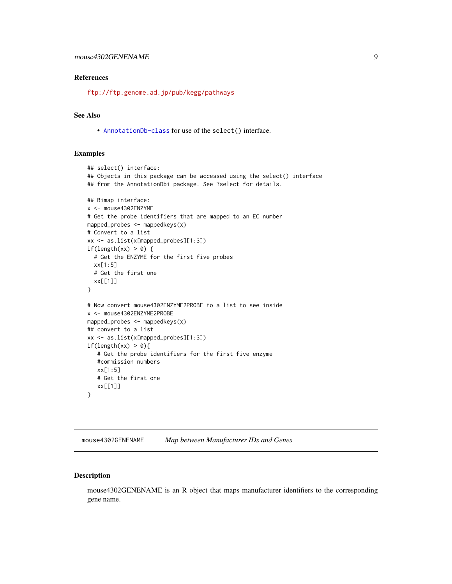#### <span id="page-8-0"></span>References

<ftp://ftp.genome.ad.jp/pub/kegg/pathways>

## See Also

• [AnnotationDb-class](#page-0-0) for use of the select() interface.

#### Examples

```
## select() interface:
## Objects in this package can be accessed using the select() interface
## from the AnnotationDbi package. See ?select for details.
## Bimap interface:
x <- mouse4302ENZYME
# Get the probe identifiers that are mapped to an EC number
mapped_probes <- mappedkeys(x)
# Convert to a list
xx <- as.list(x[mapped_probes][1:3])
if(length(xx) > 0) {
  # Get the ENZYME for the first five probes
  xx[1:5]
  # Get the first one
  xx[[1]]
}
# Now convert mouse4302ENZYME2PROBE to a list to see inside
x <- mouse4302ENZYME2PROBE
mapped_probes \leq mappedkeys(x)
## convert to a list
xx <- as.list(x[mapped_probes][1:3])
if(length(xx) > 0){
   # Get the probe identifiers for the first five enzyme
   #commission numbers
   xx[1:5]
   # Get the first one
  xx[[1]]
}
```
mouse4302GENENAME *Map between Manufacturer IDs and Genes*

## Description

mouse4302GENENAME is an R object that maps manufacturer identifiers to the corresponding gene name.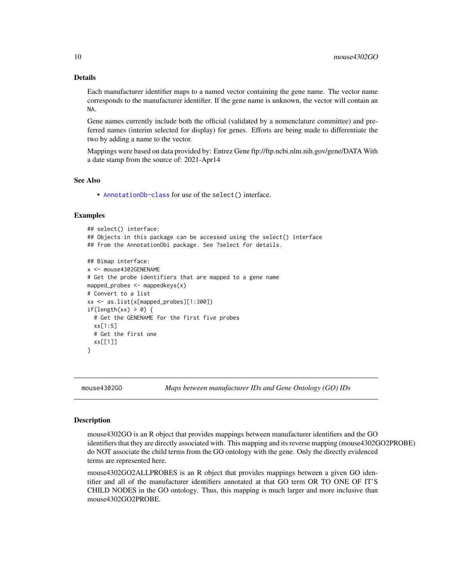## Details

Each manufacturer identifier maps to a named vector containing the gene name. The vector name corresponds to the manufacturer identifier. If the gene name is unknown, the vector will contain an NA.

Gene names currently include both the official (validated by a nomenclature committee) and preferred names (interim selected for display) for genes. Efforts are being made to differentiate the two by adding a name to the vector.

Mappings were based on data provided by: Entrez Gene ftp://ftp.ncbi.nlm.nih.gov/gene/DATA With a date stamp from the source of: 2021-Apr14

#### See Also

• [AnnotationDb-class](#page-0-0) for use of the select() interface.

## Examples

```
## select() interface:
## Objects in this package can be accessed using the select() interface
## from the AnnotationDbi package. See ?select for details.
## Bimap interface:
x <- mouse4302GENENAME
# Get the probe identifiers that are mapped to a gene name
mapped_probes \leq mappedkeys(x)
# Convert to a list
xx <- as.list(x[mapped_probes][1:300])
if(length(xx) > 0) {
  # Get the GENENAME for the first five probes
  xx[1:5]
  # Get the first one
  xx[[1]]
}
```
mouse4302GO *Maps between manufacturer IDs and Gene Ontology (GO) IDs*

#### <span id="page-9-0"></span>Description

mouse4302GO is an R object that provides mappings between manufacturer identifiers and the GO identifiers that they are directly associated with. This mapping and its reverse mapping (mouse4302GO2PROBE) do NOT associate the child terms from the GO ontology with the gene. Only the directly evidenced terms are represented here.

mouse4302GO2ALLPROBES is an R object that provides mappings between a given GO identifier and all of the manufacturer identifiers annotated at that GO term OR TO ONE OF IT'S CHILD NODES in the GO ontology. Thus, this mapping is much larger and more inclusive than mouse4302GO2PROBE.

<span id="page-9-1"></span>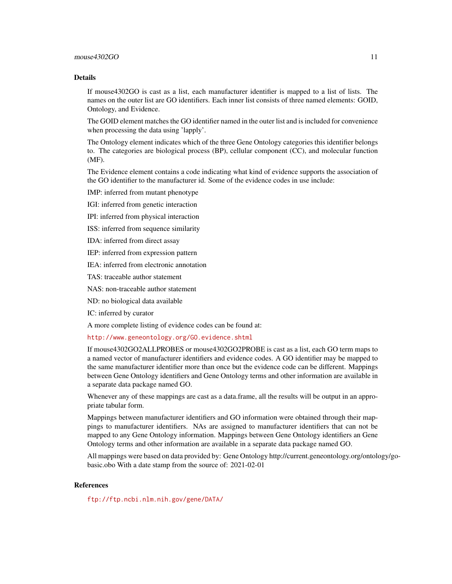## Details

If mouse4302GO is cast as a list, each manufacturer identifier is mapped to a list of lists. The names on the outer list are GO identifiers. Each inner list consists of three named elements: GOID, Ontology, and Evidence.

The GOID element matches the GO identifier named in the outer list and is included for convenience when processing the data using 'lapply'.

The Ontology element indicates which of the three Gene Ontology categories this identifier belongs to. The categories are biological process (BP), cellular component (CC), and molecular function (MF).

The Evidence element contains a code indicating what kind of evidence supports the association of the GO identifier to the manufacturer id. Some of the evidence codes in use include:

IMP: inferred from mutant phenotype

IGI: inferred from genetic interaction

IPI: inferred from physical interaction

ISS: inferred from sequence similarity

IDA: inferred from direct assay

IEP: inferred from expression pattern

IEA: inferred from electronic annotation

TAS: traceable author statement

NAS: non-traceable author statement

ND: no biological data available

IC: inferred by curator

A more complete listing of evidence codes can be found at:

<http://www.geneontology.org/GO.evidence.shtml>

If mouse4302GO2ALLPROBES or mouse4302GO2PROBE is cast as a list, each GO term maps to a named vector of manufacturer identifiers and evidence codes. A GO identifier may be mapped to the same manufacturer identifier more than once but the evidence code can be different. Mappings between Gene Ontology identifiers and Gene Ontology terms and other information are available in a separate data package named GO.

Whenever any of these mappings are cast as a data.frame, all the results will be output in an appropriate tabular form.

Mappings between manufacturer identifiers and GO information were obtained through their mappings to manufacturer identifiers. NAs are assigned to manufacturer identifiers that can not be mapped to any Gene Ontology information. Mappings between Gene Ontology identifiers an Gene Ontology terms and other information are available in a separate data package named GO.

All mappings were based on data provided by: Gene Ontology http://current.geneontology.org/ontology/gobasic.obo With a date stamp from the source of: 2021-02-01

#### References

<ftp://ftp.ncbi.nlm.nih.gov/gene/DATA/>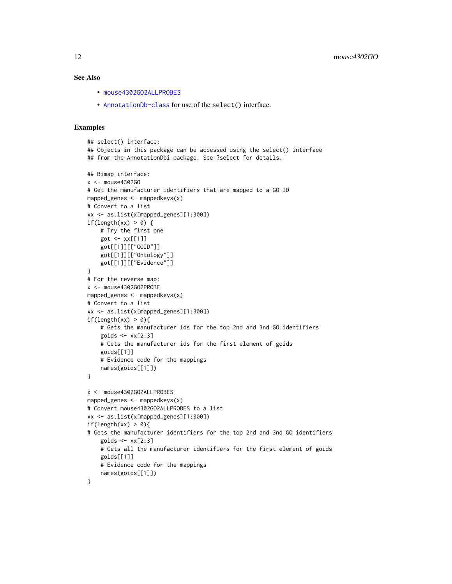## <span id="page-11-0"></span>See Also

- [mouse4302GO2ALLPROBES](#page-9-0)
- [AnnotationDb-class](#page-0-0) for use of the select() interface.

```
## select() interface:
## Objects in this package can be accessed using the select() interface
## from the AnnotationDbi package. See ?select for details.
## Bimap interface:
x < - mouse4302GO
# Get the manufacturer identifiers that are mapped to a GO ID
mapped_genes <- mappedkeys(x)
# Convert to a list
xx <- as.list(x[mapped_genes][1:300])
if(length(xx) > 0) {
    # Try the first one
   got \leq -xx[[1]]got[[1]][["GOID"]]
    got[[1]][["Ontology"]]
    got[[1]][["Evidence"]]
}
# For the reverse map:
x <- mouse4302GO2PROBE
mapped_genes <- mappedkeys(x)
# Convert to a list
xx <- as.list(x[mapped_genes][1:300])
if(length(xx) > 0){
    # Gets the manufacturer ids for the top 2nd and 3nd GO identifiers
    goids \leq -x \times [2:3]# Gets the manufacturer ids for the first element of goids
    goids[[1]]
    # Evidence code for the mappings
   names(goids[[1]])
}
x <- mouse4302GO2ALLPROBES
mapped_genes <- mappedkeys(x)
# Convert mouse4302GO2ALLPROBES to a list
xx <- as.list(x[mapped_genes][1:300])
if(length(xx) > 0){
# Gets the manufacturer identifiers for the top 2nd and 3nd GO identifiers
    goids \leq xx[2:3]# Gets all the manufacturer identifiers for the first element of goids
   goids[[1]]
    # Evidence code for the mappings
    names(goids[[1]])
}
```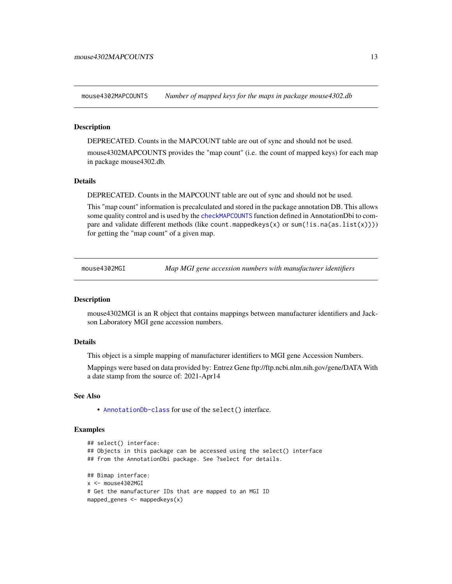<span id="page-12-0"></span>mouse4302MAPCOUNTS *Number of mapped keys for the maps in package mouse4302.db*

#### **Description**

DEPRECATED. Counts in the MAPCOUNT table are out of sync and should not be used.

mouse4302MAPCOUNTS provides the "map count" (i.e. the count of mapped keys) for each map in package mouse4302.db.

#### Details

DEPRECATED. Counts in the MAPCOUNT table are out of sync and should not be used.

This "map count" information is precalculated and stored in the package annotation DB. This allows some quality control and is used by the [checkMAPCOUNTS](#page-0-0) function defined in AnnotationDbi to compare and validate different methods (like count.mappedkeys(x) or sum(!is.na(as.list(x)))) for getting the "map count" of a given map.

mouse4302MGI *Map MGI gene accession numbers with manufacturer identifiers*

#### **Description**

mouse4302MGI is an R object that contains mappings between manufacturer identifiers and Jackson Laboratory MGI gene accession numbers.

#### Details

This object is a simple mapping of manufacturer identifiers to MGI gene Accession Numbers.

Mappings were based on data provided by: Entrez Gene ftp://ftp.ncbi.nlm.nih.gov/gene/DATA With a date stamp from the source of: 2021-Apr14

#### See Also

• [AnnotationDb-class](#page-0-0) for use of the select() interface.

```
## select() interface:
## Objects in this package can be accessed using the select() interface
## from the AnnotationDbi package. See ?select for details.
## Bimap interface:
x <- mouse4302MGI
# Get the manufacturer IDs that are mapped to an MGI ID
mapped_genes <- mappedkeys(x)
```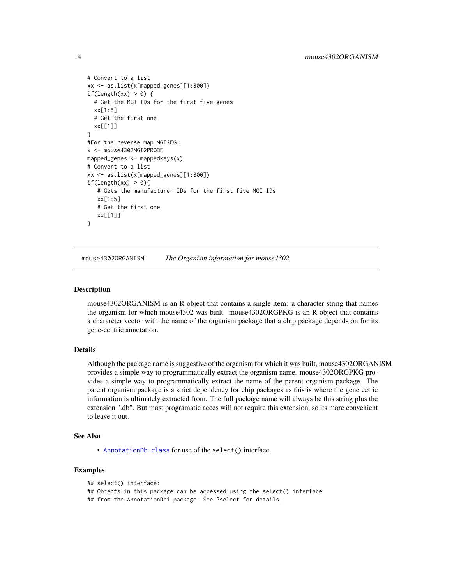```
# Convert to a list
xx <- as.list(x[mapped_genes][1:300])
if(length(xx) > 0) {
 # Get the MGI IDs for the first five genes
 xx[1:5]
 # Get the first one
 xx[[1]]
}
#For the reverse map MGI2EG:
x <- mouse4302MGI2PROBE
mapped_genes <- mappedkeys(x)
# Convert to a list
xx <- as.list(x[mapped_genes][1:300])
if(length(xx) > 0){
   # Gets the manufacturer IDs for the first five MGI IDs
  xx[1:5]
  # Get the first one
  xx[[1]]
}
```
mouse4302ORGANISM *The Organism information for mouse4302*

#### **Description**

mouse4302ORGANISM is an R object that contains a single item: a character string that names the organism for which mouse4302 was built. mouse4302ORGPKG is an R object that contains a chararcter vector with the name of the organism package that a chip package depends on for its gene-centric annotation.

## Details

Although the package name is suggestive of the organism for which it was built, mouse4302ORGANISM provides a simple way to programmatically extract the organism name. mouse4302ORGPKG provides a simple way to programmatically extract the name of the parent organism package. The parent organism package is a strict dependency for chip packages as this is where the gene cetric information is ultimately extracted from. The full package name will always be this string plus the extension ".db". But most programatic acces will not require this extension, so its more convenient to leave it out.

#### See Also

• [AnnotationDb-class](#page-0-0) for use of the select() interface.

```
## select() interface:
## Objects in this package can be accessed using the select() interface
## from the AnnotationDbi package. See ?select for details.
```
<span id="page-13-0"></span>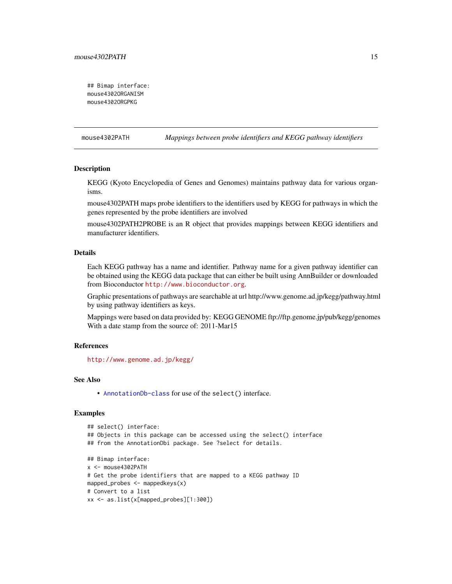```
## Bimap interface:
mouse4302ORGANISM
mouse4302ORGPKG
```
mouse4302PATH *Mappings between probe identifiers and KEGG pathway identifiers*

## Description

KEGG (Kyoto Encyclopedia of Genes and Genomes) maintains pathway data for various organisms.

mouse4302PATH maps probe identifiers to the identifiers used by KEGG for pathways in which the genes represented by the probe identifiers are involved

mouse4302PATH2PROBE is an R object that provides mappings between KEGG identifiers and manufacturer identifiers.

#### Details

Each KEGG pathway has a name and identifier. Pathway name for a given pathway identifier can be obtained using the KEGG data package that can either be built using AnnBuilder or downloaded from Bioconductor <http://www.bioconductor.org>.

Graphic presentations of pathways are searchable at url http://www.genome.ad.jp/kegg/pathway.html by using pathway identifiers as keys.

Mappings were based on data provided by: KEGG GENOME ftp://ftp.genome.jp/pub/kegg/genomes With a date stamp from the source of: 2011-Mar15

## References

<http://www.genome.ad.jp/kegg/>

#### See Also

• [AnnotationDb-class](#page-0-0) for use of the select() interface.

```
## select() interface:
## Objects in this package can be accessed using the select() interface
## from the AnnotationDbi package. See ?select for details.
## Bimap interface:
x <- mouse4302PATH
# Get the probe identifiers that are mapped to a KEGG pathway ID
mapped_probes <- mappedkeys(x)
# Convert to a list
xx <- as.list(x[mapped_probes][1:300])
```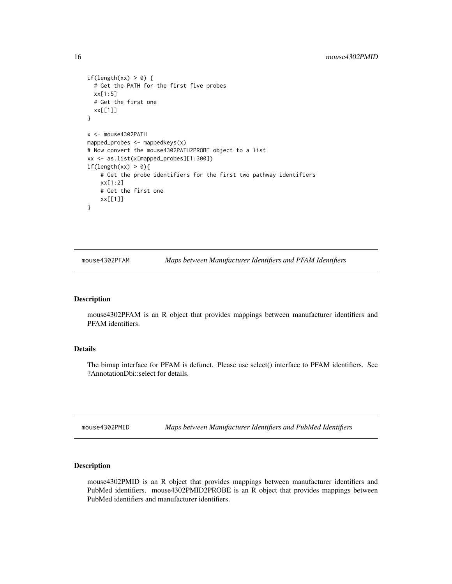```
if(length(xx) > 0) {
  # Get the PATH for the first five probes
  xx[1:5]
  # Get the first one
  xx[[1]]
}
x <- mouse4302PATH
mapped_probes \leq mappedkeys(x)
# Now convert the mouse4302PATH2PROBE object to a list
xx <- as.list(x[mapped_probes][1:300])
if(length(xx) > \theta){
    # Get the probe identifiers for the first two pathway identifiers
    xx[1:2]
    # Get the first one
    xx[[1]]
}
```
mouse4302PFAM *Maps between Manufacturer Identifiers and PFAM Identifiers*

#### Description

mouse4302PFAM is an R object that provides mappings between manufacturer identifiers and PFAM identifiers.

## Details

The bimap interface for PFAM is defunct. Please use select() interface to PFAM identifiers. See ?AnnotationDbi::select for details.

mouse4302PMID *Maps between Manufacturer Identifiers and PubMed Identifiers*

## Description

mouse4302PMID is an R object that provides mappings between manufacturer identifiers and PubMed identifiers. mouse4302PMID2PROBE is an R object that provides mappings between PubMed identifiers and manufacturer identifiers.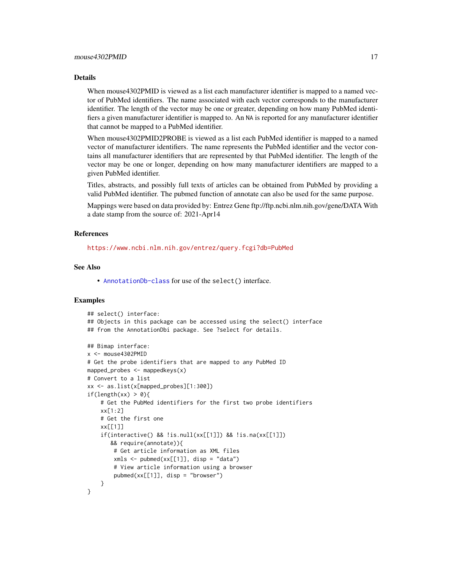#### Details

When mouse4302PMID is viewed as a list each manufacturer identifier is mapped to a named vector of PubMed identifiers. The name associated with each vector corresponds to the manufacturer identifier. The length of the vector may be one or greater, depending on how many PubMed identifiers a given manufacturer identifier is mapped to. An NA is reported for any manufacturer identifier that cannot be mapped to a PubMed identifier.

When mouse4302PMID2PROBE is viewed as a list each PubMed identifier is mapped to a named vector of manufacturer identifiers. The name represents the PubMed identifier and the vector contains all manufacturer identifiers that are represented by that PubMed identifier. The length of the vector may be one or longer, depending on how many manufacturer identifiers are mapped to a given PubMed identifier.

Titles, abstracts, and possibly full texts of articles can be obtained from PubMed by providing a valid PubMed identifier. The pubmed function of annotate can also be used for the same purpose.

Mappings were based on data provided by: Entrez Gene ftp://ftp.ncbi.nlm.nih.gov/gene/DATA With a date stamp from the source of: 2021-Apr14

#### References

<https://www.ncbi.nlm.nih.gov/entrez/query.fcgi?db=PubMed>

## See Also

• [AnnotationDb-class](#page-0-0) for use of the select() interface.

```
## select() interface:
## Objects in this package can be accessed using the select() interface
## from the AnnotationDbi package. See ?select for details.
## Bimap interface:
x <- mouse4302PMID
# Get the probe identifiers that are mapped to any PubMed ID
mapped_probes \leq mappedkeys(x)
# Convert to a list
xx <- as.list(x[mapped_probes][1:300])
if(length(xx) > 0)# Get the PubMed identifiers for the first two probe identifiers
    xx[1:2]
    # Get the first one
    xx[[1]]
    if(interactive() && !is.null(xx[[1]]) && !is.na(xx[[1]])
       && require(annotate)){
        # Get article information as XML files
        xmls < -pubmed(xx[[1]], disp = "data")# View article information using a browser
        pubmed(xx[[1]], disp = "browser")
    }
}
```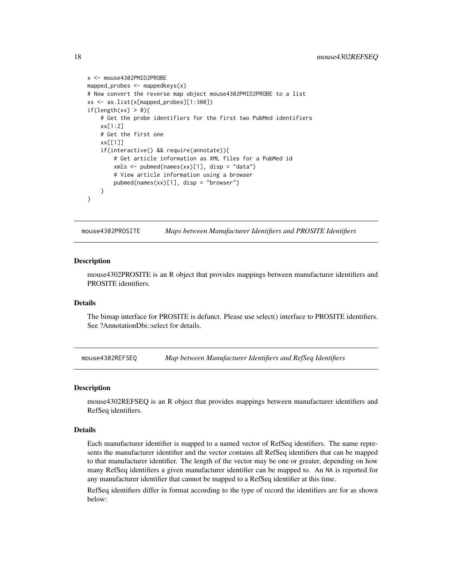```
x <- mouse4302PMID2PROBE
mapped_probes <- mappedkeys(x)
# Now convert the reverse map object mouse4302PMID2PROBE to a list
xx <- as.list(x[mapped_probes][1:300])
if(length(xx) > 0){
    # Get the probe identifiers for the first two PubMed identifiers
    xx[1:2]
    # Get the first one
   xx[[1]]
    if(interactive() && require(annotate)){
        # Get article information as XML files for a PubMed id
        xmls <- pubmed(names(xx)[1], disp = "data")
        # View article information using a browser
        pubmed(names(xx)[1], disp = "browser")
   }
}
```
mouse4302PROSITE *Maps between Manufacturer Identifiers and PROSITE Identifiers*

#### **Description**

mouse4302PROSITE is an R object that provides mappings between manufacturer identifiers and PROSITE identifiers.

## Details

The bimap interface for PROSITE is defunct. Please use select() interface to PROSITE identifiers. See ?AnnotationDbi::select for details.

mouse4302REFSEQ *Map between Manufacturer Identifiers and RefSeq Identifiers*

#### Description

mouse4302REFSEQ is an R object that provides mappings between manufacturer identifiers and RefSeq identifiers.

#### Details

Each manufacturer identifier is mapped to a named vector of RefSeq identifiers. The name represents the manufacturer identifier and the vector contains all RefSeq identifiers that can be mapped to that manufacturer identifier. The length of the vector may be one or greater, depending on how many RefSeq identifiers a given manufacturer identifier can be mapped to. An NA is reported for any manufacturer identifier that cannot be mapped to a RefSeq identifier at this time.

RefSeq identifiers differ in format according to the type of record the identifiers are for as shown below:

<span id="page-17-0"></span>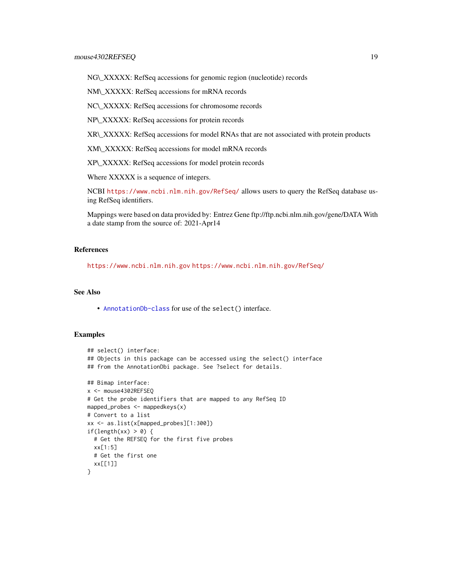NG\\_XXXXX: RefSeq accessions for genomic region (nucleotide) records

NM\\_XXXXX: RefSeq accessions for mRNA records

NC\\_XXXXX: RefSeq accessions for chromosome records

NP\\_XXXXX: RefSeq accessions for protein records

XR\\_XXXXX: RefSeq accessions for model RNAs that are not associated with protein products

XM\\_XXXXX: RefSeq accessions for model mRNA records

XP\\_XXXXX: RefSeq accessions for model protein records

Where XXXXX is a sequence of integers.

NCBI <https://www.ncbi.nlm.nih.gov/RefSeq/> allows users to query the RefSeq database using RefSeq identifiers.

Mappings were based on data provided by: Entrez Gene ftp://ftp.ncbi.nlm.nih.gov/gene/DATA With a date stamp from the source of: 2021-Apr14

## References

<https://www.ncbi.nlm.nih.gov> <https://www.ncbi.nlm.nih.gov/RefSeq/>

## See Also

• [AnnotationDb-class](#page-0-0) for use of the select() interface.

```
## select() interface:
## Objects in this package can be accessed using the select() interface
## from the AnnotationDbi package. See ?select for details.
## Bimap interface:
x <- mouse4302REFSEQ
# Get the probe identifiers that are mapped to any RefSeq ID
mapped_probes <- mappedkeys(x)
# Convert to a list
xx <- as.list(x[mapped_probes][1:300])
if(length(xx) > 0) {
  # Get the REFSEQ for the first five probes
  xx[1:5]
  # Get the first one
  xx[[1]]
}
```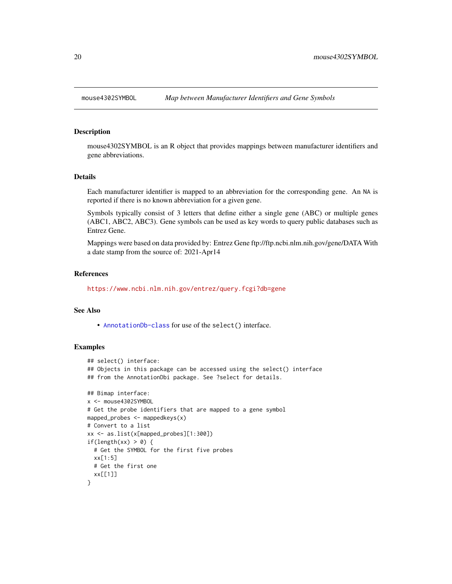<span id="page-19-0"></span>

#### Description

mouse4302SYMBOL is an R object that provides mappings between manufacturer identifiers and gene abbreviations.

#### Details

Each manufacturer identifier is mapped to an abbreviation for the corresponding gene. An NA is reported if there is no known abbreviation for a given gene.

Symbols typically consist of 3 letters that define either a single gene (ABC) or multiple genes (ABC1, ABC2, ABC3). Gene symbols can be used as key words to query public databases such as Entrez Gene.

Mappings were based on data provided by: Entrez Gene ftp://ftp.ncbi.nlm.nih.gov/gene/DATA With a date stamp from the source of: 2021-Apr14

#### References

<https://www.ncbi.nlm.nih.gov/entrez/query.fcgi?db=gene>

#### See Also

• [AnnotationDb-class](#page-0-0) for use of the select() interface.

```
## select() interface:
## Objects in this package can be accessed using the select() interface
## from the AnnotationDbi package. See ?select for details.
## Bimap interface:
x <- mouse4302SYMBOL
# Get the probe identifiers that are mapped to a gene symbol
mapped_probes <- mappedkeys(x)
# Convert to a list
xx <- as.list(x[mapped_probes][1:300])
if(length(xx) > 0) {
  # Get the SYMBOL for the first five probes
  xx[1:5]
  # Get the first one
  xx[[1]]
}
```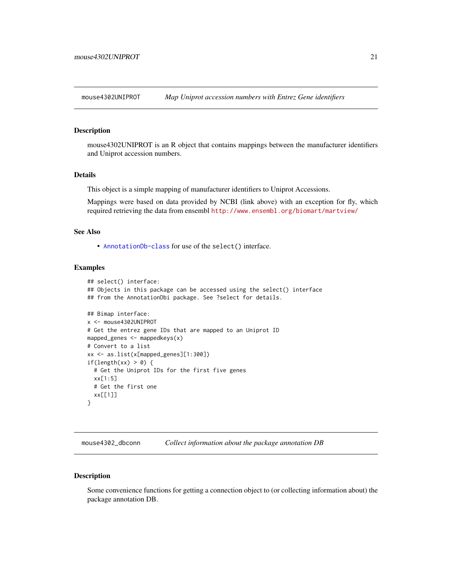<span id="page-20-0"></span>

### Description

mouse4302UNIPROT is an R object that contains mappings between the manufacturer identifiers and Uniprot accession numbers.

#### Details

This object is a simple mapping of manufacturer identifiers to Uniprot Accessions.

Mappings were based on data provided by NCBI (link above) with an exception for fly, which required retrieving the data from ensembl <http://www.ensembl.org/biomart/martview/>

## See Also

• [AnnotationDb-class](#page-0-0) for use of the select() interface.

## Examples

```
## select() interface:
## Objects in this package can be accessed using the select() interface
## from the AnnotationDbi package. See ?select for details.
## Bimap interface:
x <- mouse4302UNIPROT
# Get the entrez gene IDs that are mapped to an Uniprot ID
mapped_genes <- mappedkeys(x)
# Convert to a list
xx <- as.list(x[mapped_genes][1:300])
if(length(xx) > 0) {
  # Get the Uniprot IDs for the first five genes
  xx[1:5]
  # Get the first one
  xx[[1]]
}
```
mouse4302\_dbconn *Collect information about the package annotation DB*

#### Description

Some convenience functions for getting a connection object to (or collecting information about) the package annotation DB.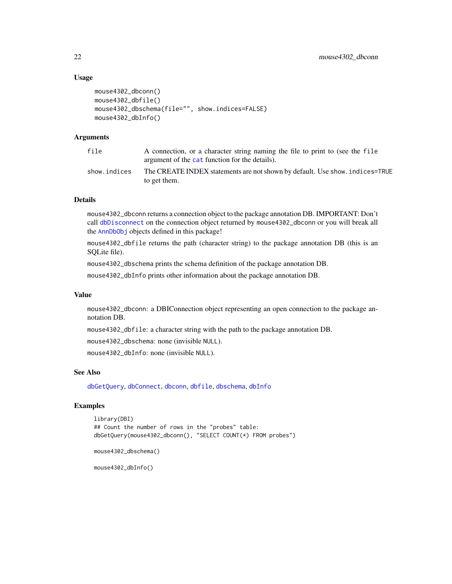## Usage

```
mouse4302_dbconn()
mouse4302_dbfile()
mouse4302_dbschema(file="", show.indices=FALSE)
mouse4302_dbInfo()
```
## Arguments

| file         | A connection, or a character string naming the file to print to (see the file<br>argument of the cat function for the details). |
|--------------|---------------------------------------------------------------------------------------------------------------------------------|
| show.indices | The CREATE INDEX statements are not shown by default. Use show, indices=TRUE<br>to get them.                                    |

#### Details

mouse4302\_dbconn returns a connection object to the package annotation DB. IMPORTANT: Don't call [dbDisconnect](#page-0-0) on the connection object returned by mouse4302\_dbconn or you will break all the [AnnDbObj](#page-0-0) objects defined in this package!

mouse4302\_dbfile returns the path (character string) to the package annotation DB (this is an SQLite file).

mouse4302\_dbschema prints the schema definition of the package annotation DB.

mouse4302\_dbInfo prints other information about the package annotation DB.

#### Value

mouse4302\_dbconn: a DBIConnection object representing an open connection to the package annotation DB.

mouse4302\_dbfile: a character string with the path to the package annotation DB.

mouse4302\_dbschema: none (invisible NULL).

mouse4302\_dbInfo: none (invisible NULL).

## See Also

[dbGetQuery](#page-0-0), [dbConnect](#page-0-0), [dbconn](#page-0-0), [dbfile](#page-0-0), [dbschema](#page-0-0), [dbInfo](#page-0-0)

## Examples

```
library(DBI)
## Count the number of rows in the "probes" table:
dbGetQuery(mouse4302_dbconn(), "SELECT COUNT(*) FROM probes")
```

```
mouse4302_dbschema()
```
mouse4302\_dbInfo()

<span id="page-21-0"></span>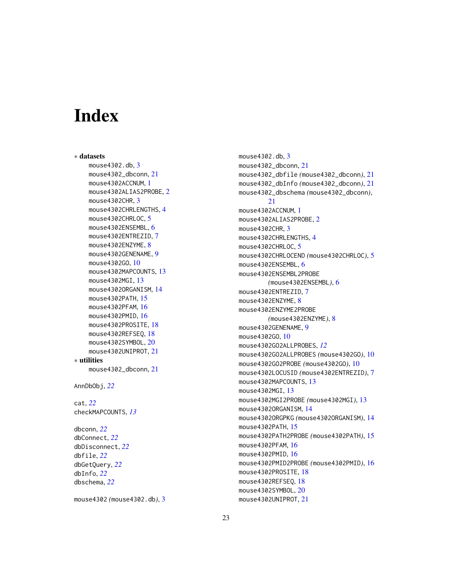# Index

∗ datasets mouse4302.db, [3](#page-2-0) mouse4302\_dbconn, [21](#page-20-0) mouse4302ACCNUM, [1](#page-0-1) mouse4302ALIAS2PROBE, [2](#page-1-0) mouse4302CHR, [3](#page-2-0) mouse4302CHRLENGTHS, [4](#page-3-0) mouse4302CHRLOC, [5](#page-4-0) mouse4302ENSEMBL, [6](#page-5-0) mouse4302ENTREZID, [7](#page-6-0) mouse4302ENZYME, [8](#page-7-0) mouse4302GENENAME, [9](#page-8-0) mouse4302GO, [10](#page-9-1) mouse4302MAPCOUNTS, [13](#page-12-0) mouse4302MGI, [13](#page-12-0) mouse4302ORGANISM, [14](#page-13-0) mouse4302PATH, [15](#page-14-0) mouse4302PFAM, [16](#page-15-0) mouse4302PMID, [16](#page-15-0) mouse4302PROSITE, [18](#page-17-0) mouse4302REFSEQ, [18](#page-17-0) mouse4302SYMBOL, [20](#page-19-0) mouse4302UNIPROT, [21](#page-20-0) ∗ utilities mouse4302\_dbconn, [21](#page-20-0) AnnDbObj, *[22](#page-21-0)* cat, *[22](#page-21-0)* checkMAPCOUNTS, *[13](#page-12-0)* dbconn, *[22](#page-21-0)* dbConnect, *[22](#page-21-0)* dbDisconnect, *[22](#page-21-0)* dbfile, *[22](#page-21-0)* dbGetQuery, *[22](#page-21-0)* dbInfo, *[22](#page-21-0)*

mouse4302 *(*mouse4302.db*)*, [3](#page-2-0)

dbschema, *[22](#page-21-0)*

mouse4302.db, [3](#page-2-0) mouse4302\_dbconn, [21](#page-20-0) mouse4302\_dbfile *(*mouse4302\_dbconn*)*, [21](#page-20-0) mouse4302\_dbInfo *(*mouse4302\_dbconn*)*, [21](#page-20-0) mouse4302\_dbschema *(*mouse4302\_dbconn*)*,  $21$ mouse4302ACCNUM, [1](#page-0-1) mouse4302ALIAS2PROBE, [2](#page-1-0) mouse4302CHR, [3](#page-2-0) mouse4302CHRLENGTHS, [4](#page-3-0) mouse4302CHRLOC, [5](#page-4-0) mouse4302CHRLOCEND *(*mouse4302CHRLOC*)*, [5](#page-4-0) mouse4302ENSEMBL, [6](#page-5-0) mouse4302ENSEMBL2PROBE *(*mouse4302ENSEMBL*)*, [6](#page-5-0) mouse4302ENTREZID, [7](#page-6-0) mouse4302ENZYME, [8](#page-7-0) mouse4302ENZYME2PROBE *(*mouse4302ENZYME*)*, [8](#page-7-0) mouse4302GENENAME, [9](#page-8-0) mouse4302GO, [10](#page-9-1) mouse4302GO2ALLPROBES, *[12](#page-11-0)* mouse4302GO2ALLPROBES *(*mouse4302GO*)*, [10](#page-9-1) mouse4302GO2PROBE *(*mouse4302GO*)*, [10](#page-9-1) mouse4302LOCUSID *(*mouse4302ENTREZID*)*, [7](#page-6-0) mouse4302MAPCOUNTS, [13](#page-12-0) mouse4302MGI, [13](#page-12-0) mouse4302MGI2PROBE *(*mouse4302MGI*)*, [13](#page-12-0) mouse4302ORGANISM, [14](#page-13-0) mouse4302ORGPKG *(*mouse4302ORGANISM*)*, [14](#page-13-0) mouse4302PATH, [15](#page-14-0) mouse4302PATH2PROBE *(*mouse4302PATH*)*, [15](#page-14-0) mouse4302PFAM, [16](#page-15-0) mouse4302PMID, [16](#page-15-0) mouse4302PMID2PROBE *(*mouse4302PMID*)*, [16](#page-15-0) mouse4302PROSITE, [18](#page-17-0) mouse4302REFSEQ, [18](#page-17-0) mouse4302SYMBOL, [20](#page-19-0) mouse4302UNIPROT, [21](#page-20-0)